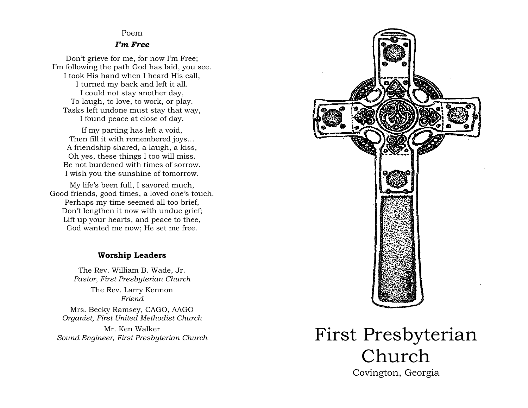#### Poem

#### *I'm Free*

Don't grieve for me, for now I'm Free; I'm following the path God has laid, you see. I took His hand when I heard His call, I turned my back and left it all. I could not stay another day, To laugh, to love, to work, or play. Tasks left undone must stay that way, I found peace at close of day.

If my parting has left a void, Then fill it with remembered joys… A friendship shared, a laugh, a kiss, Oh yes, these things I too will miss. Be not burdened with times of sorrow. I wish you the sunshine of tomorrow.

My life's been full, I savored much, Good friends, good times, a loved one's touch. Perhaps my time seemed all too brief, Don't lengthen it now with undue grief; Lift up your hearts, and peace to thee, God wanted me now; He set me free.

#### **Worship Leaders**

The Rev. William B. Wade, Jr. *Pastor, First Presbyterian Church*

> The Rev. Larry Kennon *Friend*

Mrs. Becky Ramsey, CAGO, AAGO *Organist, First United Methodist Church*

Mr. Ken Walker



# *Sound Engineer, First Presbyterian Church* First Presbyterian Church Church Covington, Georgia